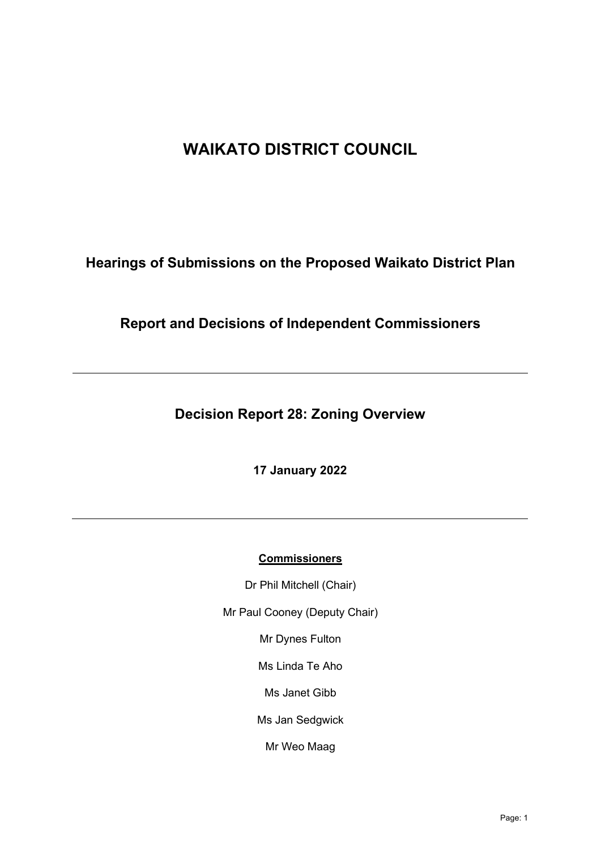# **WAIKATO DISTRICT COUNCIL**

**Hearings of Submissions on the Proposed Waikato District Plan**

# **Report and Decisions of Independent Commissioners**

**Decision Report 28: Zoning Overview**

**17 January 2022** 

# **Commissioners**

Dr Phil Mitchell (Chair)

Mr Paul Cooney (Deputy Chair)

Mr Dynes Fulton

Ms Linda Te Aho

Ms Janet Gibb

Ms Jan Sedgwick

Mr Weo Maag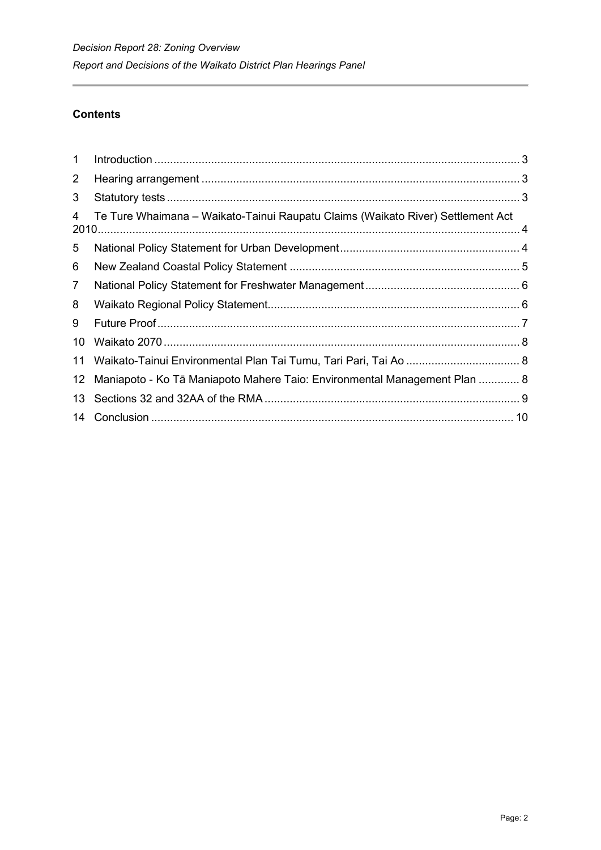# **Contents**

| $\mathbf 1$     |                                                                                 |  |
|-----------------|---------------------------------------------------------------------------------|--|
| $\overline{2}$  |                                                                                 |  |
| 3               |                                                                                 |  |
| 4               | Te Ture Whaimana – Waikato-Tainui Raupatu Claims (Waikato River) Settlement Act |  |
| 5               |                                                                                 |  |
| 6               |                                                                                 |  |
| $\overline{7}$  |                                                                                 |  |
| 8               |                                                                                 |  |
| 9               |                                                                                 |  |
| 10              |                                                                                 |  |
| 11              |                                                                                 |  |
| 12 <sup>2</sup> | Maniapoto - Ko Tā Maniapoto Mahere Taio: Environmental Management Plan  8       |  |
| 13              |                                                                                 |  |
| 14              |                                                                                 |  |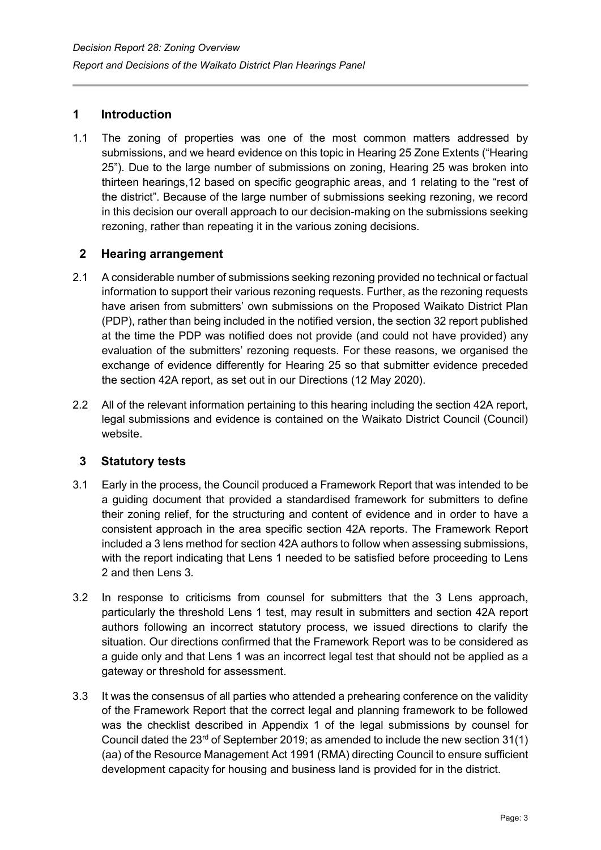# <span id="page-2-0"></span>**1 Introduction**

1.1 The zoning of properties was one of the most common matters addressed by submissions, and we heard evidence on this topic in Hearing 25 Zone Extents ("Hearing 25"). Due to the large number of submissions on zoning, Hearing 25 was broken into thirteen hearings,12 based on specific geographic areas, and 1 relating to the "rest of the district". Because of the large number of submissions seeking rezoning, we record in this decision our overall approach to our decision-making on the submissions seeking rezoning, rather than repeating it in the various zoning decisions.

#### <span id="page-2-1"></span>**2 Hearing arrangement**

- 2.1 A considerable number of submissions seeking rezoning provided no technical or factual information to support their various rezoning requests. Further, as the rezoning requests have arisen from submitters' own submissions on the Proposed Waikato District Plan (PDP), rather than being included in the notified version, the section 32 report published at the time the PDP was notified does not provide (and could not have provided) any evaluation of the submitters' rezoning requests. For these reasons, we organised the exchange of evidence differently for Hearing 25 so that submitter evidence preceded the section 42A report, as set out in our Directions (12 May 2020).
- 2.2 All of the relevant information pertaining to this hearing including the section 42A report, legal submissions and evidence is contained on the Waikato District Council (Council) website.

# <span id="page-2-2"></span>**3 Statutory tests**

- 3.1 Early in the process, the Council produced a Framework Report that was intended to be a guiding document that provided a standardised framework for submitters to define their zoning relief, for the structuring and content of evidence and in order to have a consistent approach in the area specific section 42A reports. The Framework Report included a 3 lens method for section 42A authors to follow when assessing submissions, with the report indicating that Lens 1 needed to be satisfied before proceeding to Lens 2 and then Lens 3.
- 3.2 In response to criticisms from counsel for submitters that the 3 Lens approach, particularly the threshold Lens 1 test, may result in submitters and section 42A report authors following an incorrect statutory process, we issued directions to clarify the situation. Our directions confirmed that the Framework Report was to be considered as a guide only and that Lens 1 was an incorrect legal test that should not be applied as a gateway or threshold for assessment.
- 3.3 It was the consensus of all parties who attended a prehearing conference on the validity of the Framework Report that the correct legal and planning framework to be followed was the checklist described in Appendix 1 of the legal submissions by counsel for Council dated the  $23<sup>rd</sup>$  of September 2019; as amended to include the new section 31(1) (aa) of the Resource Management Act 1991 (RMA) directing Council to ensure sufficient development capacity for housing and business land is provided for in the district.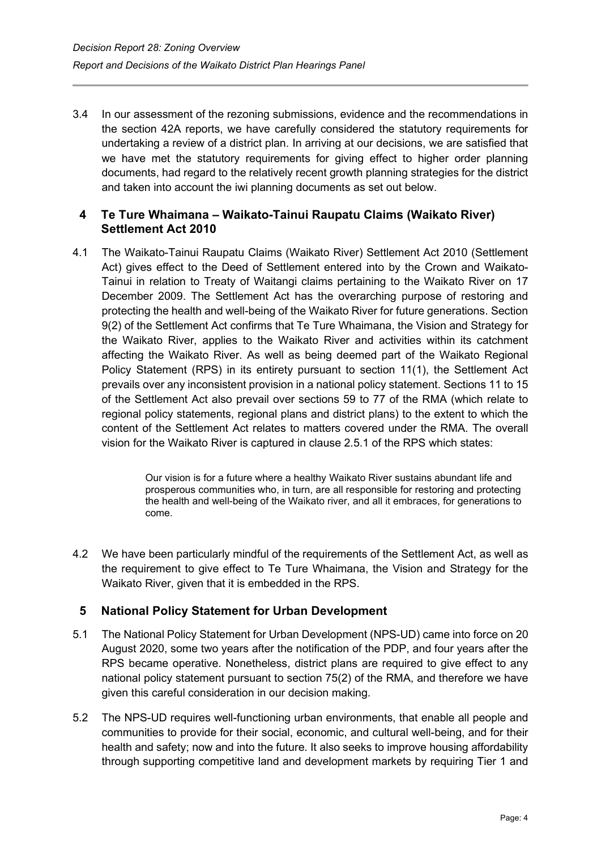3.4 In our assessment of the rezoning submissions, evidence and the recommendations in the section 42A reports, we have carefully considered the statutory requirements for undertaking a review of a district plan. In arriving at our decisions, we are satisfied that we have met the statutory requirements for giving effect to higher order planning documents, had regard to the relatively recent growth planning strategies for the district and taken into account the iwi planning documents as set out below.

## <span id="page-3-0"></span>**4 Te Ture Whaimana – Waikato-Tainui Raupatu Claims (Waikato River) Settlement Act 2010**

4.1 The Waikato-Tainui Raupatu Claims (Waikato River) Settlement Act 2010 (Settlement Act) gives effect to the Deed of Settlement entered into by the Crown and Waikato-Tainui in relation to Treaty of Waitangi claims pertaining to the Waikato River on 17 December 2009. The Settlement Act has the overarching purpose of restoring and protecting the health and well-being of the Waikato River for future generations. Section 9(2) of the Settlement Act confirms that Te Ture Whaimana, the Vision and Strategy for the Waikato River, applies to the Waikato River and activities within its catchment affecting the Waikato River. As well as being deemed part of the Waikato Regional Policy Statement (RPS) in its entirety pursuant to section 11(1), the Settlement Act prevails over any inconsistent provision in a national policy statement. Sections 11 to 15 of the Settlement Act also prevail over sections 59 to 77 of the RMA (which relate to regional policy statements, regional plans and district plans) to the extent to which the content of the Settlement Act relates to matters covered under the RMA. The overall vision for the Waikato River is captured in clause 2.5.1 of the RPS which states:

> Our vision is for a future where a healthy Waikato River sustains abundant life and prosperous communities who, in turn, are all responsible for restoring and protecting the health and well-being of the Waikato river, and all it embraces, for generations to come.

4.2 We have been particularly mindful of the requirements of the Settlement Act, as well as the requirement to give effect to Te Ture Whaimana, the Vision and Strategy for the Waikato River, given that it is embedded in the RPS.

# <span id="page-3-1"></span>**5 National Policy Statement for Urban Development**

- 5.1 The National Policy Statement for Urban Development (NPS-UD) came into force on 20 August 2020, some two years after the notification of the PDP, and four years after the RPS became operative. Nonetheless, district plans are required to give effect to any national policy statement pursuant to section 75(2) of the RMA, and therefore we have given this careful consideration in our decision making.
- 5.2 The NPS-UD requires well-functioning urban environments, that enable all people and communities to provide for their social, economic, and cultural well-being, and for their health and safety; now and into the future. It also seeks to improve housing affordability through supporting competitive land and development markets by requiring Tier 1 and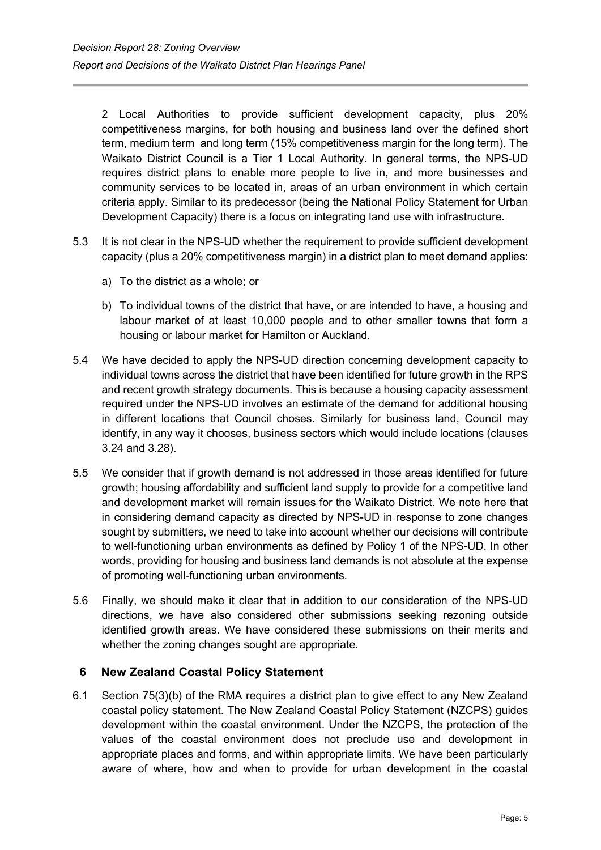2 Local Authorities to provide sufficient development capacity, plus 20% competitiveness margins, for both housing and business land over the defined short term, medium term and long term (15% competitiveness margin for the long term). The Waikato District Council is a Tier 1 Local Authority. In general terms, the NPS-UD requires district plans to enable more people to live in, and more businesses and community services to be located in, areas of an urban environment in which certain criteria apply. Similar to its predecessor (being the National Policy Statement for Urban Development Capacity) there is a focus on integrating land use with infrastructure.

- 5.3 It is not clear in the NPS-UD whether the requirement to provide sufficient development capacity (plus a 20% competitiveness margin) in a district plan to meet demand applies:
	- a) To the district as a whole; or
	- b) To individual towns of the district that have, or are intended to have, a housing and labour market of at least 10,000 people and to other smaller towns that form a housing or labour market for Hamilton or Auckland.
- 5.4 We have decided to apply the NPS-UD direction concerning development capacity to individual towns across the district that have been identified for future growth in the RPS and recent growth strategy documents. This is because a housing capacity assessment required under the NPS-UD involves an estimate of the demand for additional housing in different locations that Council choses. Similarly for business land, Council may identify, in any way it chooses, business sectors which would include locations (clauses 3.24 and 3.28).
- 5.5 We consider that if growth demand is not addressed in those areas identified for future growth; housing affordability and sufficient land supply to provide for a competitive land and development market will remain issues for the Waikato District. We note here that in considering demand capacity as directed by NPS-UD in response to zone changes sought by submitters, we need to take into account whether our decisions will contribute to well-functioning urban environments as defined by Policy 1 of the NPS-UD. In other words, providing for housing and business land demands is not absolute at the expense of promoting well-functioning urban environments.
- 5.6 Finally, we should make it clear that in addition to our consideration of the NPS-UD directions, we have also considered other submissions seeking rezoning outside identified growth areas. We have considered these submissions on their merits and whether the zoning changes sought are appropriate.

#### <span id="page-4-0"></span>**6 New Zealand Coastal Policy Statement**

6.1 Section 75(3)(b) of the RMA requires a district plan to give effect to any New Zealand coastal policy statement. The New Zealand Coastal Policy Statement (NZCPS) guides development within the coastal environment. Under the NZCPS, the protection of the values of the coastal environment does not preclude use and development in appropriate places and forms, and within appropriate limits. We have been particularly aware of where, how and when to provide for urban development in the coastal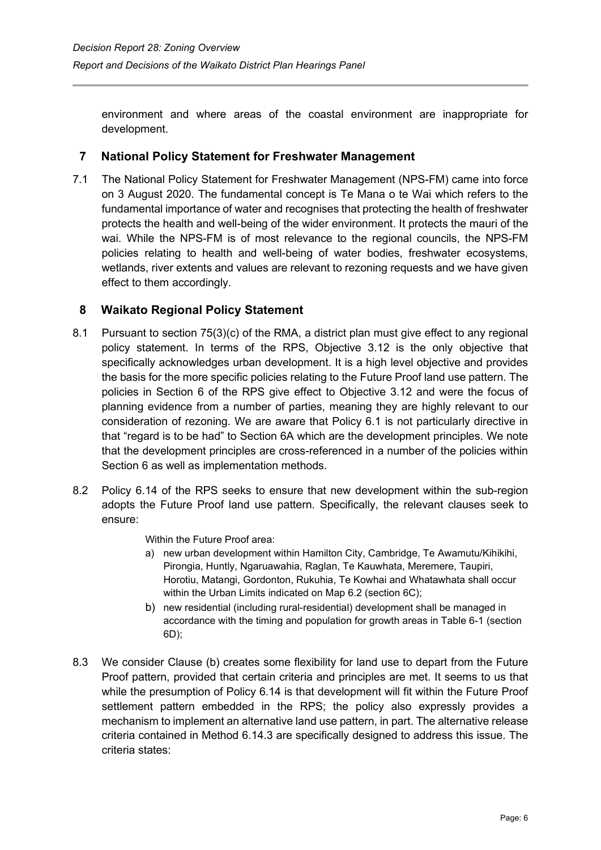environment and where areas of the coastal environment are inappropriate for development.

# <span id="page-5-0"></span>**7 National Policy Statement for Freshwater Management**

7.1 The National Policy Statement for Freshwater Management (NPS-FM) came into force on 3 August 2020. The fundamental concept is Te Mana o te Wai which refers to the fundamental importance of water and recognises that protecting the health of freshwater protects the health and well-being of the wider environment. It protects the mauri of the wai. While the NPS-FM is of most relevance to the regional councils, the NPS-FM policies relating to health and well-being of water bodies, freshwater ecosystems, wetlands, river extents and values are relevant to rezoning requests and we have given effect to them accordingly.

# <span id="page-5-1"></span>**8 Waikato Regional Policy Statement**

- 8.1 Pursuant to section 75(3)(c) of the RMA, a district plan must give effect to any regional policy statement. In terms of the RPS, Objective 3.12 is the only objective that specifically acknowledges urban development. It is a high level objective and provides the basis for the more specific policies relating to the Future Proof land use pattern. The policies in Section 6 of the RPS give effect to Objective 3.12 and were the focus of planning evidence from a number of parties, meaning they are highly relevant to our consideration of rezoning. We are aware that Policy 6.1 is not particularly directive in that "regard is to be had" to Section 6A which are the development principles. We note that the development principles are cross-referenced in a number of the policies within Section 6 as well as implementation methods.
- 8.2 Policy 6.14 of the RPS seeks to ensure that new development within the sub-region adopts the Future Proof land use pattern. Specifically, the relevant clauses seek to ensure:

Within the Future Proof area:

- a) new urban development within Hamilton City, Cambridge, Te Awamutu/Kihikihi, Pirongia, Huntly, Ngaruawahia, Raglan, Te Kauwhata, Meremere, Taupiri, Horotiu, Matangi, Gordonton, Rukuhia, Te Kowhai and Whatawhata shall occur within the Urban Limits indicated on Map 6.2 (section 6C);
- b) new residential (including rural-residential) development shall be managed in accordance with the timing and population for growth areas in Table 6-1 (section 6D);
- 8.3 We consider Clause (b) creates some flexibility for land use to depart from the Future Proof pattern, provided that certain criteria and principles are met. It seems to us that while the presumption of Policy 6.14 is that development will fit within the Future Proof settlement pattern embedded in the RPS; the policy also expressly provides a mechanism to implement an alternative land use pattern, in part. The alternative release criteria contained in Method 6.14.3 are specifically designed to address this issue. The criteria states: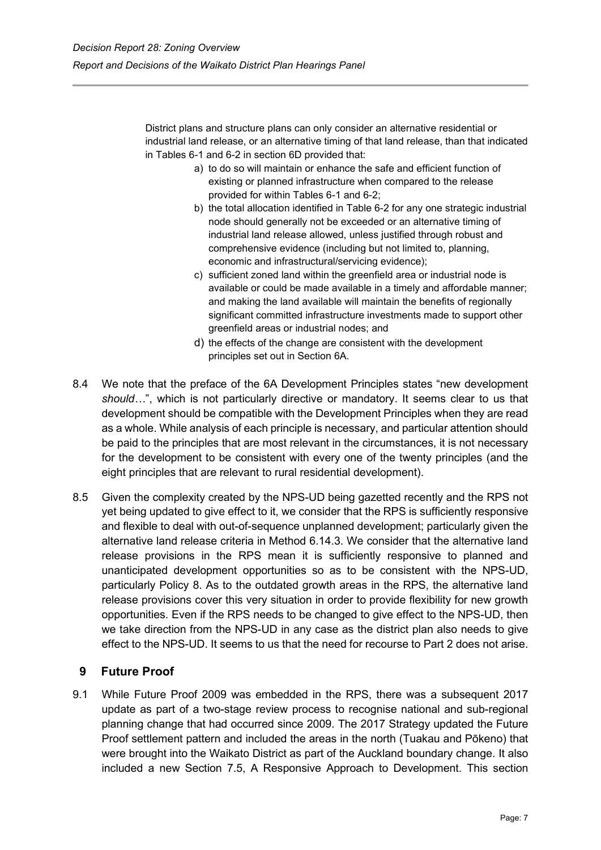District plans and structure plans can only consider an alternative residential or industrial land release, or an alternative timing of that land release, than that indicated in Tables 6-1 and 6-2 in section 6D provided that:

- a) to do so will maintain or enhance the safe and efficient function of existing or planned infrastructure when compared to the release provided for within Tables 6-1 and 6-2;
- b) the total allocation identified in Table 6-2 for any one strategic industrial node should generally not be exceeded or an alternative timing of industrial land release allowed, unless justified through robust and comprehensive evidence (including but not limited to, planning, economic and infrastructural/servicing evidence);
- c) sufficient zoned land within the greenfield area or industrial node is available or could be made available in a timely and affordable manner; and making the land available will maintain the benefits of regionally significant committed infrastructure investments made to support other greenfield areas or industrial nodes; and
- d) the effects of the change are consistent with the development principles set out in Section 6A.
- 8.4 We note that the preface of the 6A Development Principles states "new development *should…*", which is not particularly directive or mandatory. It seems clear to us that development should be compatible with the Development Principles when they are read as a whole. While analysis of each principle is necessary, and particular attention should be paid to the principles that are most relevant in the circumstances, it is not necessary for the development to be consistent with every one of the twenty principles (and the eight principles that are relevant to rural residential development).
- 8.5 Given the complexity created by the NPS-UD being gazetted recently and the RPS not yet being updated to give effect to it, we consider that the RPS is sufficiently responsive and flexible to deal with out-of-sequence unplanned development; particularly given the alternative land release criteria in Method 6.14.3. We consider that the alternative land release provisions in the RPS mean it is sufficiently responsive to planned and unanticipated development opportunities so as to be consistent with the NPS-UD, particularly Policy 8. As to the outdated growth areas in the RPS, the alternative land release provisions cover this very situation in order to provide flexibility for new growth opportunities. Even if the RPS needs to be changed to give effect to the NPS-UD, then we take direction from the NPS-UD in any case as the district plan also needs to give effect to the NPS-UD. It seems to us that the need for recourse to Part 2 does not arise.

# <span id="page-6-0"></span>**9 Future Proof**

9.1 While Future Proof 2009 was embedded in the RPS, there was a subsequent 2017 update as part of a two-stage review process to recognise national and sub-regional planning change that had occurred since 2009. The 2017 Strategy updated the Future Proof settlement pattern and included the areas in the north (Tuakau and Pōkeno) that were brought into the Waikato District as part of the Auckland boundary change. It also included a new Section 7.5, A Responsive Approach to Development. This section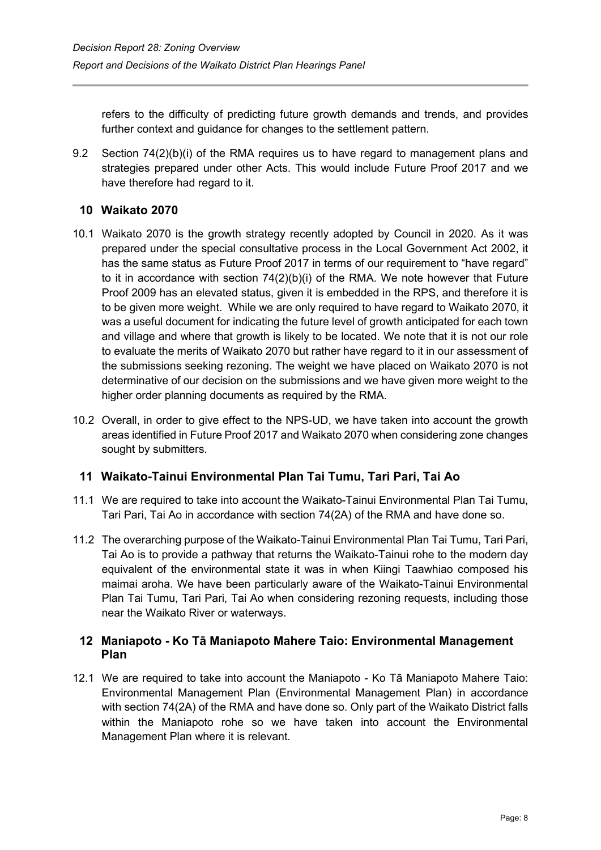refers to the difficulty of predicting future growth demands and trends, and provides further context and guidance for changes to the settlement pattern.

9.2 Section 74(2)(b)(i) of the RMA requires us to have regard to management plans and strategies prepared under other Acts. This would include Future Proof 2017 and we have therefore had regard to it.

## <span id="page-7-0"></span>**10 Waikato 2070**

- 10.1 Waikato 2070 is the growth strategy recently adopted by Council in 2020. As it was prepared under the special consultative process in the Local Government Act 2002, it has the same status as Future Proof 2017 in terms of our requirement to "have regard" to it in accordance with section 74(2)(b)(i) of the RMA. We note however that Future Proof 2009 has an elevated status, given it is embedded in the RPS, and therefore it is to be given more weight. While we are only required to have regard to Waikato 2070, it was a useful document for indicating the future level of growth anticipated for each town and village and where that growth is likely to be located. We note that it is not our role to evaluate the merits of Waikato 2070 but rather have regard to it in our assessment of the submissions seeking rezoning. The weight we have placed on Waikato 2070 is not determinative of our decision on the submissions and we have given more weight to the higher order planning documents as required by the RMA.
- 10.2 Overall, in order to give effect to the NPS-UD, we have taken into account the growth areas identified in Future Proof 2017 and Waikato 2070 when considering zone changes sought by submitters.

#### <span id="page-7-1"></span>**11 Waikato-Tainui Environmental Plan Tai Tumu, Tari Pari, Tai Ao**

- 11.1 We are required to take into account the Waikato-Tainui Environmental Plan Tai Tumu, Tari Pari, Tai Ao in accordance with section 74(2A) of the RMA and have done so.
- 11.2 The overarching purpose of the Waikato-Tainui Environmental Plan Tai Tumu, Tari Pari, Tai Ao is to provide a pathway that returns the Waikato-Tainui rohe to the modern day equivalent of the environmental state it was in when Kiingi Taawhiao composed his maimai aroha. We have been particularly aware of the Waikato-Tainui Environmental Plan Tai Tumu, Tari Pari, Tai Ao when considering rezoning requests, including those near the Waikato River or waterways.

## <span id="page-7-2"></span>**12 Maniapoto - Ko Tā Maniapoto Mahere Taio: Environmental Management Plan**

12.1 We are required to take into account the Maniapoto - Ko Tā Maniapoto Mahere Taio: Environmental Management Plan (Environmental Management Plan) in accordance with section 74(2A) of the RMA and have done so. Only part of the Waikato District falls within the Maniapoto rohe so we have taken into account the Environmental Management Plan where it is relevant.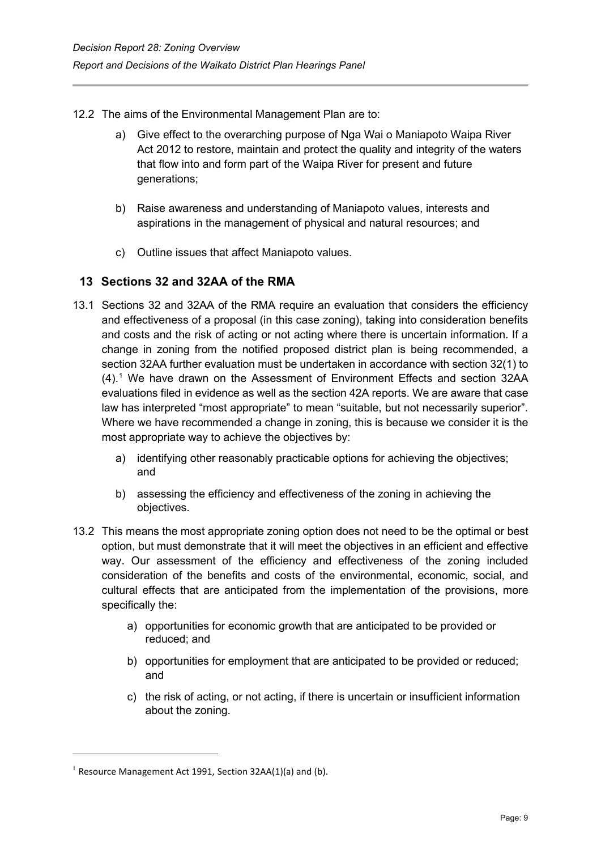- 12.2 The aims of the Environmental Management Plan are to:
	- a) Give effect to the overarching purpose of Nga Wai o Maniapoto Waipa River Act 2012 to restore, maintain and protect the quality and integrity of the waters that flow into and form part of the Waipa River for present and future generations;
	- b) Raise awareness and understanding of Maniapoto values, interests and aspirations in the management of physical and natural resources; and
	- c) Outline issues that affect Maniapoto values.

# <span id="page-8-0"></span>**13 Sections 32 and 32AA of the RMA**

- 13.1 Sections 32 and 32AA of the RMA require an evaluation that considers the efficiency and effectiveness of a proposal (in this case zoning), taking into consideration benefits and costs and the risk of acting or not acting where there is uncertain information. If a change in zoning from the notified proposed district plan is being recommended, a section 32AA further evaluation must be undertaken in accordance with section 32(1) to (4). [1](#page-8-1) We have drawn on the Assessment of Environment Effects and section 32AA evaluations filed in evidence as well as the section 42A reports. We are aware that case law has interpreted "most appropriate" to mean "suitable, but not necessarily superior". Where we have recommended a change in zoning, this is because we consider it is the most appropriate way to achieve the objectives by:
	- a) identifying other reasonably practicable options for achieving the objectives; and
	- b) assessing the efficiency and effectiveness of the zoning in achieving the objectives.
- 13.2 This means the most appropriate zoning option does not need to be the optimal or best option, but must demonstrate that it will meet the objectives in an efficient and effective way. Our assessment of the efficiency and effectiveness of the zoning included consideration of the benefits and costs of the environmental, economic, social, and cultural effects that are anticipated from the implementation of the provisions, more specifically the:
	- a) opportunities for economic growth that are anticipated to be provided or reduced; and
	- b) opportunities for employment that are anticipated to be provided or reduced; and
	- c) the risk of acting, or not acting, if there is uncertain or insufficient information about the zoning.

<span id="page-8-1"></span><sup>&</sup>lt;sup>1</sup> Resource Management Act 1991, Section 32AA(1)(a) and (b).